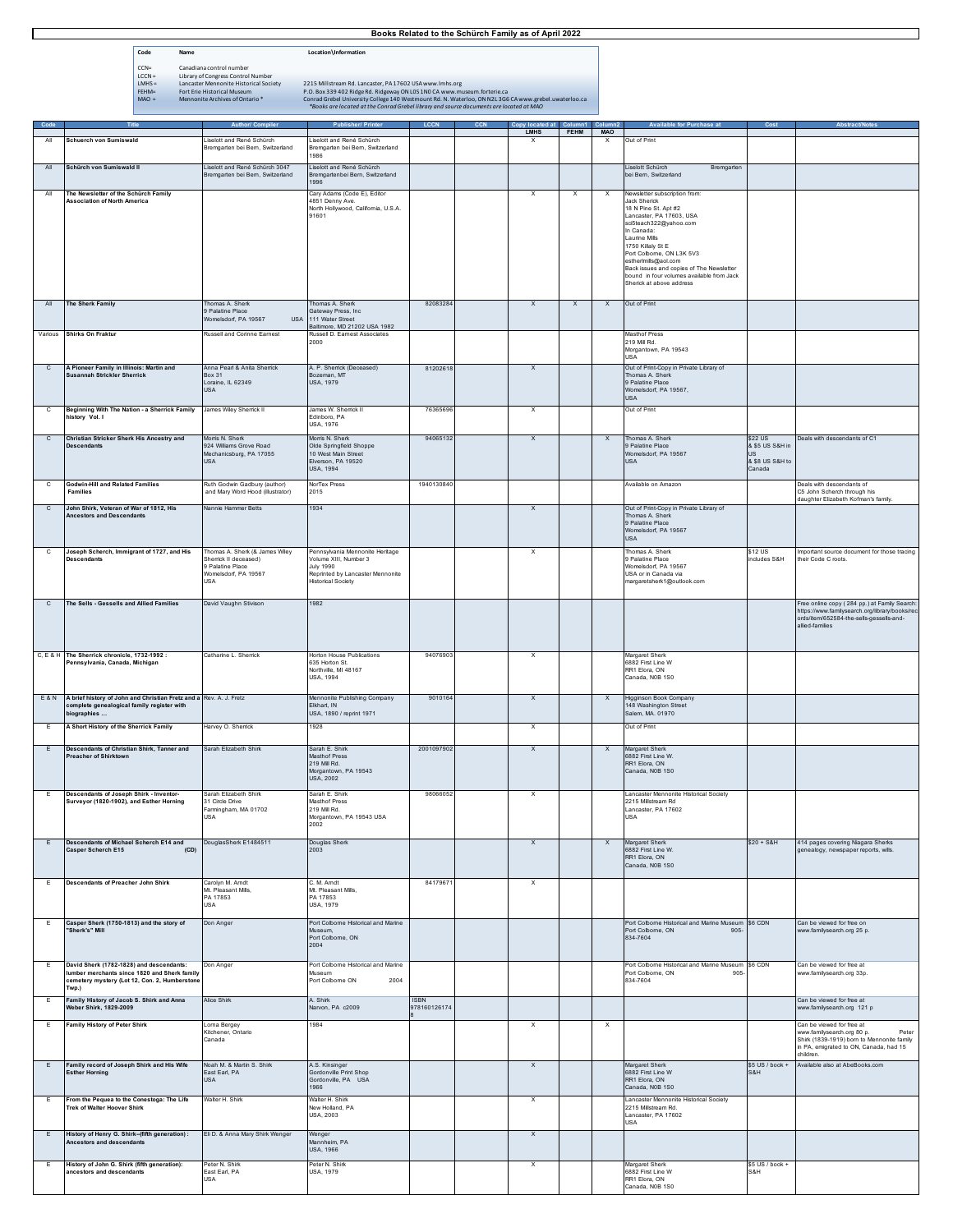## **Books Related to the Schürch Family as of April 2022**

| Code     | Name                                       | Location\Information                                                                                                                                                                             |
|----------|--------------------------------------------|--------------------------------------------------------------------------------------------------------------------------------------------------------------------------------------------------|
| $CCN =$  | Canadiana control number                   |                                                                                                                                                                                                  |
| $LCCN =$ | Library of Congress Control Number         |                                                                                                                                                                                                  |
| $LMHS =$ | Lancaster Mennonite Historical Society     | 2215 Millstream Rd. Lancaster, PA 17602 USA www.lmhs.org                                                                                                                                         |
| $FFHM=$  | <b>Fort Frie Historical Museum</b>         | P.O. Box 339 402 Ridge Rd. Ridgeway ON LOS 1NO CA www.museum.forterie.ca                                                                                                                         |
| $MAO =$  | Mennonite Archives of Ontario <sup>*</sup> | Conrad Grebel University College 140 Westmount Rd. N. Waterloo, ON N2L 3G6 CA www.grebel.uwaterloo.ca<br>*Books are located at the Conrad Grebel library and source documents are located at MAO |

| Code           |                                                                                          | <b>Author/ Compiler</b>                               | <b>Publisher/ Printer</b>                                | <b>LCCN</b>  | Copy located at           |                           | Column2                    | <b>Available for Purchase at</b>                                               | Cost                      | <b>Abstract/Notes</b>                                                                      |
|----------------|------------------------------------------------------------------------------------------|-------------------------------------------------------|----------------------------------------------------------|--------------|---------------------------|---------------------------|----------------------------|--------------------------------------------------------------------------------|---------------------------|--------------------------------------------------------------------------------------------|
| All            | Schuerch von Sumiswald                                                                   | Liselott and René Schürch                             | Liselott and René Schürch                                |              | <b>LMHS</b><br>х          | FEHM                      | <b>MAO</b><br>$\mathsf{x}$ | Out of Print                                                                   |                           |                                                                                            |
|                |                                                                                          | Bremgarten bei Bern Switzerland                       | Bremgarten bei Bern, Switzerland                         |              |                           |                           |                            |                                                                                |                           |                                                                                            |
|                |                                                                                          |                                                       | 1986                                                     |              |                           |                           |                            |                                                                                |                           |                                                                                            |
| All            | Schürch von Sumiswald II                                                                 | Liselott and René Schürch 3047                        | Liselott and René Schürch                                |              |                           |                           |                            | Liselott Schürch<br>Bremgarten                                                 |                           |                                                                                            |
|                |                                                                                          | Bremgarten bei Bern, Switzerland                      | Bremgartenbei Bern, Switzerland<br>1996                  |              |                           |                           |                            | bei Bern, Switzerland                                                          |                           |                                                                                            |
| All            | The Newsletter of the Schürch Family                                                     |                                                       | Cary Adams (Code E), Editor                              |              | x                         | $\boldsymbol{\mathsf{x}}$ | $\boldsymbol{\mathsf{x}}$  | Newsletter subscription from:                                                  |                           |                                                                                            |
|                | <b>Association of North America</b>                                                      |                                                       | 4851 Denny Ave.                                          |              |                           |                           |                            | Jack Sherick                                                                   |                           |                                                                                            |
|                |                                                                                          |                                                       | North Hollywood, California, U.S.A.                      |              |                           |                           |                            | 18 N Pine St. Apt #2                                                           |                           |                                                                                            |
|                |                                                                                          |                                                       | 91601                                                    |              |                           |                           |                            | Lancaster, PA 17603, USA<br>sci5teach322@yahoo.com                             |                           |                                                                                            |
|                |                                                                                          |                                                       |                                                          |              |                           |                           |                            | In Canada:                                                                     |                           |                                                                                            |
|                |                                                                                          |                                                       |                                                          |              |                           |                           |                            | Laurine Mills                                                                  |                           |                                                                                            |
|                |                                                                                          |                                                       |                                                          |              |                           |                           |                            | 1750 Killaly St E<br>Port Colborne, ON L3K 5V3                                 |                           |                                                                                            |
|                |                                                                                          |                                                       |                                                          |              |                           |                           |                            | estherlmils@aol.com                                                            |                           |                                                                                            |
|                |                                                                                          |                                                       |                                                          |              |                           |                           |                            | Back issues and copies of The Newsletter                                       |                           |                                                                                            |
|                |                                                                                          |                                                       |                                                          |              |                           |                           |                            | bound in four volumes available from Jack<br>Sherick at above address          |                           |                                                                                            |
|                |                                                                                          |                                                       |                                                          |              |                           |                           |                            |                                                                                |                           |                                                                                            |
| $A\ $          | The Sherk Family                                                                         | Thomas A. Sherk                                       | Thomas A. Sherk                                          | 82083284     | $\boldsymbol{\mathsf{x}}$ | $\mathsf X$               | $\mathsf{x}$               | Out of Print                                                                   |                           |                                                                                            |
|                |                                                                                          | 9 Palatine Place                                      | Gateway Press, Inc.                                      |              |                           |                           |                            |                                                                                |                           |                                                                                            |
|                |                                                                                          | Womelsdorf, PA 19567                                  | USA 111 Water Street<br>Baltimore, MD 21202 USA 1982     |              |                           |                           |                            |                                                                                |                           |                                                                                            |
| Various        | <b>Shirks On Fraktur</b>                                                                 | Russell and Corinne Earnest                           | Russell D. Eamest Associates                             |              |                           |                           |                            | Masthof Press                                                                  |                           |                                                                                            |
|                |                                                                                          |                                                       | 2000                                                     |              |                           |                           |                            | 219 Mill Rd.                                                                   |                           |                                                                                            |
|                |                                                                                          |                                                       |                                                          |              |                           |                           |                            | Morgantown, PA 19543<br>USA                                                    |                           |                                                                                            |
| $\mathsf{c}$   | A Pioneer Family in Illinois: Martin and                                                 | Anna Pearl & Anita Sherrick                           | A. P. Sherrick (Deceased)                                | 81202618     | $\mathsf{x}$              |                           |                            | Out of Print-Copy in Private Library of                                        |                           |                                                                                            |
|                | <b>Susannah Strickler Sherrick</b>                                                       | <b>Box 31</b>                                         | Bozeman, MT                                              |              |                           |                           |                            | Thomas A. Sherk                                                                |                           |                                                                                            |
|                |                                                                                          | Loraine, IL 62349                                     | <b>USA, 1979</b>                                         |              |                           |                           |                            | 9 Palatine Place                                                               |                           |                                                                                            |
|                |                                                                                          | <b>USA</b>                                            |                                                          |              |                           |                           |                            | Womelsdorf, PA 19567,<br><b>USA</b>                                            |                           |                                                                                            |
|                |                                                                                          |                                                       | James W. Shemck II                                       | 76365696     |                           |                           |                            | Out of Print                                                                   |                           |                                                                                            |
| с              | Beginning With The Nation - a Sherrick Family<br>history Vol. I                          | James Wiley Sherrick II                               | Edinboro, PA                                             |              | x                         |                           |                            |                                                                                |                           |                                                                                            |
|                |                                                                                          |                                                       | USA, 1976                                                |              |                           |                           |                            |                                                                                |                           |                                                                                            |
| $\mathsf{C}$   | Christian Stricker Sherk His Ancestry and                                                | Morris N. Sherk                                       | Morris N. Sherk                                          | 94065132     | $\boldsymbol{\mathsf{x}}$ |                           | $\mathsf{x}$               | Thomas A. Sherk                                                                | \$22 US                   | Deals with descendants of C1                                                               |
|                | <b>Descendants</b>                                                                       | 924 Williams Grove Road                               | Olde Springfield Shoppe                                  |              |                           |                           |                            | 9 Palatine Place                                                               | & \$5 US S&H in           |                                                                                            |
|                |                                                                                          | Mechanicsburg, PA 17055                               | 10 West Main Street                                      |              |                           |                           |                            | Womelsdorf, PA 19567                                                           | US                        |                                                                                            |
|                |                                                                                          | <b>USA</b>                                            | Elverson, PA 19520<br><b>USA, 1994</b>                   |              |                           |                           |                            | <b>USA</b>                                                                     | & \$8 US S&H to<br>Canada |                                                                                            |
|                |                                                                                          |                                                       |                                                          |              |                           |                           |                            |                                                                                |                           |                                                                                            |
| C              | <b>Godwin-Hill and Related Families</b>                                                  | Ruth Godwin Gadbury (author)                          | NorTex Press                                             | 1940130840   |                           |                           |                            | Available on Amazon                                                            |                           | Deals with descendants of                                                                  |
|                | <b>Families</b>                                                                          | and Mary Word Hood (illustrator)                      | 2015                                                     |              |                           |                           |                            |                                                                                |                           | C5 John Scherch through his<br>daughter Elizabeth Kofman's family.                         |
| $\mathbf{C}$   | John Shirk, Veteran of War of 1812, His                                                  | Nannie Hammer Betts                                   | 1934                                                     |              | $\mathsf{x}$              |                           |                            | Out of Print-Copy in Private Library of                                        |                           |                                                                                            |
|                | <b>Ancestors and Descendants</b>                                                         |                                                       |                                                          |              |                           |                           |                            | Thomas A. Sherk                                                                |                           |                                                                                            |
|                |                                                                                          |                                                       |                                                          |              |                           |                           |                            | 9 Palatine Place                                                               |                           |                                                                                            |
|                |                                                                                          |                                                       |                                                          |              |                           |                           |                            | Womelsdorf, PA 19567<br><b>USA</b>                                             |                           |                                                                                            |
|                |                                                                                          |                                                       |                                                          |              |                           |                           |                            |                                                                                |                           |                                                                                            |
| C              | Joseph Scherch, Immigrant of 1727, and His<br><b>Descendants</b>                         | Thomas A. Sherk (& James Wiley<br>Shemck II deceased) | Pennsylvania Mennonite Heritage<br>Volume XIII, Number 3 |              | $\boldsymbol{\mathsf{x}}$ |                           |                            | Thomas A. Sherk<br>9 Palatine Place                                            | \$12 US<br>includes S&H   | mportant source document for those tracing<br>their Code C roots.                          |
|                |                                                                                          | 9 Palatine Place                                      | <b>July 1990</b>                                         |              |                           |                           |                            | Womelsdorf, PA 19567                                                           |                           |                                                                                            |
|                |                                                                                          | Womelsdorf, PA 19567                                  | Reprinted by Lancaster Mennonite                         |              |                           |                           |                            | USA or in Canada via                                                           |                           |                                                                                            |
|                |                                                                                          | USA                                                   | <b>Historical Society</b>                                |              |                           |                           |                            | margaretsherk1@outlook.com                                                     |                           |                                                                                            |
|                |                                                                                          |                                                       |                                                          |              |                           |                           |                            |                                                                                |                           |                                                                                            |
| $\mathbf{C}$   | The Sells - Gessells and Allied Families                                                 | David Vaughn Stivison                                 | 1982                                                     |              |                           |                           |                            |                                                                                |                           | Free online copy (284 pp.) at Family Search:                                               |
|                |                                                                                          |                                                       |                                                          |              |                           |                           |                            |                                                                                |                           | https://www.familysearch.org/library/books/rec<br>ords/item/652584-the-sells-gessells-and- |
|                |                                                                                          |                                                       |                                                          |              |                           |                           |                            |                                                                                |                           | allied-families                                                                            |
|                |                                                                                          |                                                       |                                                          |              |                           |                           |                            |                                                                                |                           |                                                                                            |
|                |                                                                                          |                                                       |                                                          |              |                           |                           |                            |                                                                                |                           |                                                                                            |
|                | C, E & H The Sherrick chronicle, 1732-1992 :                                             | Catharine L. Sherrick                                 | Horton House Publications                                | 94076903     | x                         |                           |                            | Margaret Sherk                                                                 |                           |                                                                                            |
|                | Pennsylvania, Canada, Michigan                                                           |                                                       | 635 Horton St.<br>Northville, MI 48167                   |              |                           |                           |                            | 6882 First Line W<br>RR1 Elora, ON                                             |                           |                                                                                            |
|                |                                                                                          |                                                       | USA, 1994                                                |              |                           |                           |                            | Canada, NOB 1S0                                                                |                           |                                                                                            |
|                |                                                                                          |                                                       |                                                          |              |                           |                           |                            |                                                                                |                           |                                                                                            |
| <b>E&amp;N</b> | A brief history of John and Christian Fretz and a Rev. A. J. Fretz                       |                                                       | Mennonite Publishing Company                             | 9010164      | $\mathsf X$               |                           | $\mathsf X$                | Higginson Book Company                                                         |                           |                                                                                            |
|                | complete genealogical family register with                                               |                                                       | Elkhart, IN                                              |              |                           |                           |                            | 148 Washington Street<br>Salem, MA. 01970                                      |                           |                                                                                            |
|                | biographies                                                                              |                                                       | USA, 1890 / reprint 1971                                 |              |                           |                           |                            |                                                                                |                           |                                                                                            |
| E              | A Short History of the Sherrick Family                                                   | Harvey O. Sherrick                                    | 1928                                                     |              | $\mathsf{x}$              |                           |                            | Out of Print                                                                   |                           |                                                                                            |
|                |                                                                                          |                                                       |                                                          |              |                           |                           |                            |                                                                                |                           |                                                                                            |
| E              | Descendants of Christian Shirk, Tanner and                                               | Sarah Elizabeth Shirk                                 | Sarah E. Shirk                                           | 2001097902   | $\boldsymbol{\mathsf{x}}$ |                           | $\mathsf X$                | Margaret Sherk                                                                 |                           |                                                                                            |
|                | <b>Preacher of Shirktown</b>                                                             |                                                       | <b>Masthof Press</b><br>219 Mill Rd.                     |              |                           |                           |                            | 6882 First Line W.<br>RR1 Elora, ON                                            |                           |                                                                                            |
|                |                                                                                          |                                                       | Morgantown, PA 19543                                     |              |                           |                           |                            | Canada, N0B 1S0                                                                |                           |                                                                                            |
|                |                                                                                          |                                                       | <b>USA, 2002</b>                                         |              |                           |                           |                            |                                                                                |                           |                                                                                            |
|                |                                                                                          |                                                       |                                                          |              |                           |                           |                            | Lancaster Mennonite Historical Society                                         |                           |                                                                                            |
| E              | Descendants of Joseph Shirk - Inventor-<br>Surveyor (1820-1902), and Esther Horning      | Sarah Elizabeth Shirk<br>31 Circle Drive              | Sarah E. Shirk<br>Masthof Press                          | 98066052     | X                         |                           |                            | 2215 Millstream Rd                                                             |                           |                                                                                            |
|                |                                                                                          | Farmingham, MA 01702                                  | 219 Mill Rd.                                             |              |                           |                           |                            | Lancaster, PA 17602                                                            |                           |                                                                                            |
|                |                                                                                          | USA                                                   | Morgantown, PA 19543 USA<br>2002                         |              |                           |                           |                            | USA                                                                            |                           |                                                                                            |
|                |                                                                                          |                                                       |                                                          |              |                           |                           |                            |                                                                                |                           |                                                                                            |
| Ε              | Descendants of Michael Scherch E14 and                                                   | DouglasSherk E1484511                                 | Douglas Sherk                                            |              | X                         |                           | $\boldsymbol{\mathsf{x}}$  | Margaret Sherk                                                                 | $$20 + S&H$$              | 414 pages covering Niagara Sherks                                                          |
|                | Casper Scherch E15<br>(CD)                                                               |                                                       | 2003                                                     |              |                           |                           |                            | 6882 First Line W.                                                             |                           | genealogy, newspaper reports, wills.                                                       |
|                |                                                                                          |                                                       |                                                          |              |                           |                           |                            | RR1 Elora, ON                                                                  |                           |                                                                                            |
|                |                                                                                          |                                                       |                                                          |              |                           |                           |                            | Canada, NOB 1S0                                                                |                           |                                                                                            |
| E              | <b>Descendants of Preacher John Shirk</b>                                                | Carolyn M. Arndt                                      | C. M. Amdt                                               | 84179671     | $\boldsymbol{\mathsf{x}}$ |                           |                            |                                                                                |                           |                                                                                            |
|                |                                                                                          | Mt. Pleasant Mills,                                   | Mt. Pleasant Mills,                                      |              |                           |                           |                            |                                                                                |                           |                                                                                            |
|                |                                                                                          | PA 17853<br><b>USA</b>                                | PA 17853                                                 |              |                           |                           |                            |                                                                                |                           |                                                                                            |
|                |                                                                                          |                                                       | USA, 1979                                                |              |                           |                           |                            |                                                                                |                           |                                                                                            |
| E              | Casper Sherk (1750-1813) and the story of                                                | Don Anger                                             | Port Colborne Historical and Marine                      |              |                           |                           |                            | Port Colborne Historical and Marine Museum \$6 CDN                             |                           | Can be viewed for free on                                                                  |
|                | 'Sherk's" Mill                                                                           |                                                       | Museum.                                                  |              |                           |                           |                            | Port Colborne, ON<br>905                                                       |                           | www.familysearch.org 25 p.                                                                 |
|                |                                                                                          |                                                       | Port Colborne, ON<br>2004                                |              |                           |                           |                            | 834-7604                                                                       |                           |                                                                                            |
|                |                                                                                          |                                                       |                                                          |              |                           |                           |                            |                                                                                |                           |                                                                                            |
|                |                                                                                          |                                                       | Port Colborne Historical and Marine                      |              |                           |                           |                            |                                                                                |                           | Can be viewed for free at                                                                  |
| Е              | David Sherk (1782-1828) and descendants:<br>lumber merchants since 1820 and Sherk family | Don Anger                                             | Museum                                                   |              |                           |                           |                            | Port Colborne Historical and Marine Museum \$6 CDN<br>Port Colborne, ON<br>905 |                           | www.familysearch.org 33p.                                                                  |
|                | cemetery mystery (Lot 12, Con. 2, Humberstone                                            |                                                       | Port Colborne ON<br>2004                                 |              |                           |                           |                            | 834-7604                                                                       |                           |                                                                                            |
|                | Twp.)                                                                                    |                                                       |                                                          |              |                           |                           |                            |                                                                                |                           |                                                                                            |
| Е              | Family History of Jacob S. Shirk and Anna                                                | Alice Shirk                                           | A. Shirk                                                 | <b>ISBN</b>  |                           |                           |                            |                                                                                |                           | Can be viewed for free at                                                                  |
|                | <b>Weber Shirk, 1829-2009</b>                                                            |                                                       | Narvon, PA c2009                                         | 978160126174 |                           |                           |                            |                                                                                |                           | www.familysearch.org 121 p                                                                 |
| Е              | <b>Family History of Peter Shirk</b>                                                     | Lorna Bergey                                          | 1984                                                     |              | $\mathsf{x}$              |                           | $\boldsymbol{\mathsf{x}}$  |                                                                                |                           | Can be viewed for free at                                                                  |
|                |                                                                                          | Kitchener, Ontario                                    |                                                          |              |                           |                           |                            |                                                                                |                           | www.familysearch.org 80 p.<br>Peter                                                        |
|                |                                                                                          | Canada                                                |                                                          |              |                           |                           |                            |                                                                                |                           | Shirk (1839-1919) born to Mennonite family                                                 |
|                |                                                                                          |                                                       |                                                          |              |                           |                           |                            |                                                                                |                           | in PA, emigrated to ON, Canada, had 15<br>children.                                        |
| E              | Family record of Joseph Shirk and His Wife                                               | Noah M. & Martin S. Shirk                             | A.S. Kinsinger                                           |              | $\mathsf X$               |                           |                            | Margaret Sherk                                                                 | \$5 US / book +           | Available also at AbeBooks.com                                                             |
|                | <b>Esther Horning</b>                                                                    | East Earl, PA                                         | Gordonville Print Shop                                   |              |                           |                           |                            | 6882 First Line W                                                              | S&H                       |                                                                                            |
|                |                                                                                          | <b>USA</b>                                            | Gordonville, PA USA                                      |              |                           |                           |                            | RR1 Elora, ON                                                                  |                           |                                                                                            |
|                |                                                                                          |                                                       | 1966                                                     |              |                           |                           |                            | Canada, N0B 1S0                                                                |                           |                                                                                            |
| Ε              | From the Pequea to the Conestoga: The Life<br><b>Trek of Walter Hoover Shirk</b>         | Walter H. Shirk                                       | Walter H. Shirk<br>New Holland, PA                       |              | x                         |                           |                            | Lancaster Mennonite Historical Society<br>2215 Millstream Rd.                  |                           |                                                                                            |
|                |                                                                                          |                                                       | USA, 2003                                                |              |                           |                           |                            | Lancaster, PA 17602                                                            |                           |                                                                                            |
|                |                                                                                          |                                                       |                                                          |              |                           |                           |                            | <b>USA</b>                                                                     |                           |                                                                                            |
| $\mathsf E$    | History of Henry G. Shirk-(fifth generation) :                                           | Eli D. & Anna Mary Shirk Wenger                       | Wenger                                                   |              | $\boldsymbol{\mathsf{x}}$ |                           |                            |                                                                                |                           |                                                                                            |
|                | Ancestors and descendants                                                                |                                                       | Mannheim, PA                                             |              |                           |                           |                            |                                                                                |                           |                                                                                            |
|                |                                                                                          |                                                       | <b>USA, 1966</b>                                         |              |                           |                           |                            |                                                                                |                           |                                                                                            |
| Е              | History of John G. Shirk (fifth generation):                                             | Peter N. Shirk                                        | Peter N. Shirk                                           |              | х                         |                           |                            | Margaret Sherk                                                                 | \$5 US / book +           |                                                                                            |
|                | ancestors and descendants                                                                | East Earl, PA<br><b>USA</b>                           | USA, 1979                                                |              |                           |                           |                            | 6882 First Line W<br>RR1 Elora, ON                                             | S&H                       |                                                                                            |
|                |                                                                                          |                                                       |                                                          |              |                           |                           |                            | Canada, NOB 1S0                                                                |                           |                                                                                            |
|                |                                                                                          |                                                       |                                                          |              |                           |                           |                            |                                                                                |                           |                                                                                            |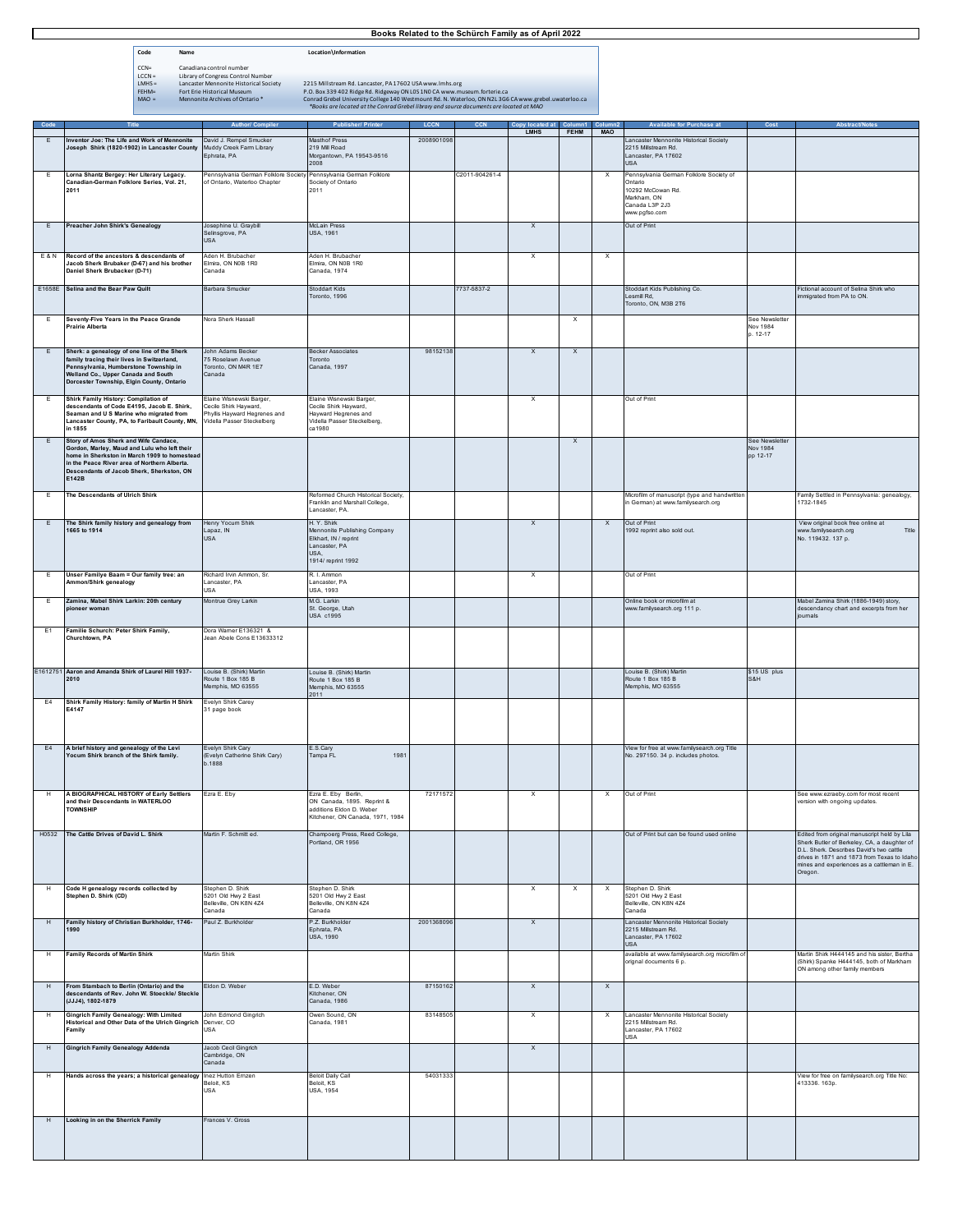|                                                                                                                                                                                                                                              | Books Related to the Schürch Family as of April 2022                                                                                                                                                                                        |                                                                                                                                                                                                                                                                                                                                          |                                                                                                                     |             |                |                           |                           |                                   |                                                                                                                          |                                        |                                                                                                                                                                                                                                                 |
|----------------------------------------------------------------------------------------------------------------------------------------------------------------------------------------------------------------------------------------------|---------------------------------------------------------------------------------------------------------------------------------------------------------------------------------------------------------------------------------------------|------------------------------------------------------------------------------------------------------------------------------------------------------------------------------------------------------------------------------------------------------------------------------------------------------------------------------------------|---------------------------------------------------------------------------------------------------------------------|-------------|----------------|---------------------------|---------------------------|-----------------------------------|--------------------------------------------------------------------------------------------------------------------------|----------------------------------------|-------------------------------------------------------------------------------------------------------------------------------------------------------------------------------------------------------------------------------------------------|
|                                                                                                                                                                                                                                              | Code<br>Name                                                                                                                                                                                                                                |                                                                                                                                                                                                                                                                                                                                          | Location\Information                                                                                                |             |                |                           |                           |                                   |                                                                                                                          |                                        |                                                                                                                                                                                                                                                 |
| $CCN =$<br>Canadiana control number<br>$LCCN =$<br>Library of Congress Control Number<br>$LMHS =$<br>Lancaster Mennonite Historical Society<br>FEHM=<br>Fort Erie Historical Museum<br>$MAO =$<br>Mennonite Archives of Ontario <sup>*</sup> |                                                                                                                                                                                                                                             | 2215 Millstream Rd. Lancaster, PA 17602 USA www.lmhs.org<br>P.O. Box 339 402 Ridge Rd. Ridgeway ON LOS 1NO CA www.museum.forterie.ca<br>Conrad Grebel University College 140 Westmount Rd. N. Waterloo, ON N2L 3G6 CA www.grebel.uwaterloo.ca<br>*Books are located at the Conrad Grebel library and source documents are located at MAO |                                                                                                                     |             |                |                           |                           |                                   |                                                                                                                          |                                        |                                                                                                                                                                                                                                                 |
| Code                                                                                                                                                                                                                                         |                                                                                                                                                                                                                                             | <b>Author/ Compiler</b>                                                                                                                                                                                                                                                                                                                  | <b>Publisher/ Printer</b>                                                                                           | <b>LCCN</b> | CCN            | Copy located at           | Column1<br>FEHM           | Column <sub>2</sub><br><b>MAO</b> | <b>Available for Purchase at</b>                                                                                         | Cost                                   | Abstract/Note:                                                                                                                                                                                                                                  |
| E                                                                                                                                                                                                                                            | Inventor Joe: The Life and Work of Mennonite<br>Joseph Shirk (1820-1902) in Lancaster County                                                                                                                                                | David J. Rempel Smucker<br>Muddy Creek Farm Library                                                                                                                                                                                                                                                                                      | Masthof Press<br>219 Mill Road                                                                                      | 2008901098  |                | <b>LMHS</b>               |                           |                                   | ancaster Mennonite Historical Society<br>2215 Millstream Rd.                                                             |                                        |                                                                                                                                                                                                                                                 |
|                                                                                                                                                                                                                                              |                                                                                                                                                                                                                                             | Ephrata, PA                                                                                                                                                                                                                                                                                                                              | Morgantown, PA 19543-9516<br>2008                                                                                   |             |                |                           |                           |                                   | Lancaster, PA 17602<br><b>USA</b>                                                                                        |                                        |                                                                                                                                                                                                                                                 |
| Lorna Shantz Bergey: Her Literary Legacy.<br>E<br>Canadian-German Folklore Series, Vol. 21,<br>2011                                                                                                                                          |                                                                                                                                                                                                                                             | Pennsylvania German Folklore Society<br>of Ontario, Waterloo Chapter                                                                                                                                                                                                                                                                     | Pennsylvania German Folklore<br>Society of Ontario<br>2011                                                          |             | C2011-904261-4 |                           |                           | $\boldsymbol{\mathsf{x}}$         | Pennsylvania German Folklore Society of<br>Ontario<br>10292 McCowan Rd.<br>Markham, ON<br>Canada L3P 2J3<br>ww.pgfso.com |                                        |                                                                                                                                                                                                                                                 |
| Preacher John Shirk's Genealogy<br>E                                                                                                                                                                                                         |                                                                                                                                                                                                                                             | Josephine U. Graybil<br>Selinsgrove, PA<br><b>USA</b>                                                                                                                                                                                                                                                                                    | Mel ain Prace<br>USA, 1961                                                                                          |             |                | $\boldsymbol{\mathsf{x}}$ |                           |                                   | Out of Print                                                                                                             |                                        |                                                                                                                                                                                                                                                 |
| Record of the ancestors & descendants of<br><b>E&amp;N</b><br>Jacob Sherk Brubaker (D-67) and his brother<br>Daniel Sherk Brubacker (D-71)                                                                                                   |                                                                                                                                                                                                                                             | Aden H Brubacher<br>Elmira, ON N0B 1R0<br>Canada                                                                                                                                                                                                                                                                                         | Aden H. Brubacher<br>Elmira, ON N0B 1R0<br>Canada, 1974                                                             |             |                | $\mathbf x$               |                           | $\boldsymbol{\mathsf{x}}$         |                                                                                                                          |                                        |                                                                                                                                                                                                                                                 |
|                                                                                                                                                                                                                                              | E1658E Selina and the Bear Paw Quilt                                                                                                                                                                                                        | Barbara Smucker                                                                                                                                                                                                                                                                                                                          | Stoddart Kids<br>Toronto, 1996                                                                                      |             | 7737-5837-2    |                           |                           |                                   | Stoddart Kids Publishing Co.<br>esmill Rd.<br>Toronto, ON, M3B 2T6                                                       |                                        | Fictional account of Selina Shirk who<br>mmigrated from PA to ON.                                                                                                                                                                               |
| E                                                                                                                                                                                                                                            | Seventy-Five Years in the Peace Grande<br><b>Prairie Alberta</b>                                                                                                                                                                            | Nora Sherk Hassall                                                                                                                                                                                                                                                                                                                       |                                                                                                                     |             |                |                           | $\boldsymbol{\mathsf{x}}$ |                                   |                                                                                                                          | See Newsletter<br>Nov 1984<br>p. 12-17 |                                                                                                                                                                                                                                                 |
| E                                                                                                                                                                                                                                            | Sherk: a genealogy of one line of the Sherk<br>family tracing their lives in Switzerland,<br>Pennsylvania, Humberstone Township in<br>Welland Co., Upper Canada and South<br>Dorcester Township, Elgin County, Ontario                      | John Adams Becker<br>75 Roselawn Avenue<br>Toronto, ON M4R 1E7<br>Canada                                                                                                                                                                                                                                                                 | <b>Becker Associates</b><br>Toronto<br>Canada, 1997                                                                 | 98152138    |                | $\boldsymbol{\mathsf{x}}$ | $\boldsymbol{\mathsf{x}}$ |                                   |                                                                                                                          |                                        |                                                                                                                                                                                                                                                 |
| E                                                                                                                                                                                                                                            | Shirk Family History: Compilation of<br>descendants of Code E4195, Jacob E. Shirk,<br>Seaman and U S Marine who migrated from<br>Lancaster County, PA, to Faribault County, MN,<br>in 1855                                                  | Elaine Wisnewski Barger,<br>Cecile Shirk Hayward,<br>hyllis Hayward Hegrenes and<br>Vidella Passer Steckelberg                                                                                                                                                                                                                           | Elaine Wisnewski Barger,<br>Cecile Shirk Hayward,<br>Hayward Hegrenes and<br>Vidella Passer Steckelberg,<br>ca1980  |             |                | х                         |                           |                                   | Out of Print                                                                                                             |                                        |                                                                                                                                                                                                                                                 |
| E                                                                                                                                                                                                                                            | Story of Amos Sherk and Wife Candace,<br>Gordon, Marley, Maud and Lulu who left their<br>home in Sherkston in March 1909 to homestead<br>in the Peace River area of Northern Alberta.<br>Descendants of Jacob Sherk, Sherkston, ON<br>E142B |                                                                                                                                                                                                                                                                                                                                          |                                                                                                                     |             |                |                           | $\mathsf X$               |                                   |                                                                                                                          | See Newsletter<br>Nov 1984<br>pp 12-17 |                                                                                                                                                                                                                                                 |
| E                                                                                                                                                                                                                                            | The Descendants of Ulrich Shirk                                                                                                                                                                                                             |                                                                                                                                                                                                                                                                                                                                          | Reformed Church Historical Society,<br>Franklin and Marshall College,<br>Lancaster, PA.                             |             |                |                           |                           |                                   | Microfilm of manuscript (type and handwritten<br>in German) at www.familysearch.org                                      |                                        | Family Settled in Pennsylvania: genealogy,<br>1732-1845                                                                                                                                                                                         |
| E                                                                                                                                                                                                                                            | The Shirk family history and genealogy from<br>1665 to 1914                                                                                                                                                                                 | Henry Yocum Shirk<br>Lapaz, IN<br><b>USA</b>                                                                                                                                                                                                                                                                                             | H. Y. Shirk<br>Mennonite Publishing Company<br>Elkhart, IN / reprint<br>Lancaster, PA<br>USA,<br>1914/ reprint 1992 |             |                | $\boldsymbol{\mathsf{x}}$ |                           | $\mathsf{x}$                      | Out of Print<br>1992 reprint also sold out.                                                                              |                                        | View original book free online at<br>www.familysearch.org<br>Title<br>No. 119432. 137 p.                                                                                                                                                        |
| Ε                                                                                                                                                                                                                                            | Unser Familye Baam = Our family tree: an<br>Ammon/Shirk genealogy                                                                                                                                                                           | Richard Irvin Ammon, Sr.<br>Lancaster, PA<br>USA                                                                                                                                                                                                                                                                                         | R. I. Ammon<br>Lancaster, PA<br><b>USA, 1993</b>                                                                    |             |                | $\boldsymbol{\mathsf{x}}$ |                           |                                   | Out of Print                                                                                                             |                                        |                                                                                                                                                                                                                                                 |
| E                                                                                                                                                                                                                                            | Zamina, Mabel Shirk Larkin: 20th century<br>nioneer woman                                                                                                                                                                                   | Montrue Grey Larkin                                                                                                                                                                                                                                                                                                                      | M.G. Larkin<br>St. George, Utah<br>USA c1995                                                                        |             |                |                           |                           |                                   | Online book or microfilm at<br>ww.familysearch.org 111 p.                                                                |                                        | Mabel Zamina Shirk (1886-1949) story,<br>descendancy chart and excerpts from her<br>joumals                                                                                                                                                     |
| E1                                                                                                                                                                                                                                           | Familie Schurch: Peter Shirk Family,<br>Churchtown, PA                                                                                                                                                                                      | Dora Warner E136321 &<br>Jean Abele Cons E13633312                                                                                                                                                                                                                                                                                       |                                                                                                                     |             |                |                           |                           |                                   |                                                                                                                          |                                        |                                                                                                                                                                                                                                                 |
|                                                                                                                                                                                                                                              | E1612751 Aaron and Amanda Shirk of Laurel Hill 1937-<br>2010                                                                                                                                                                                | Louise B. (Shirk) Martin<br>Route 1 Box 185 B<br>Memphis, MO 63555                                                                                                                                                                                                                                                                       | Louise B. (Shirk) Martin<br>Route 1 Box 185 B<br>Memphis, MO 63555<br>2011                                          |             |                |                           |                           |                                   | Louise B. (Shirk) Martin<br>Route 1 Box 185 B<br>Memphis, MO 63555                                                       | \$15 US plus<br>S&H                    |                                                                                                                                                                                                                                                 |
| E4                                                                                                                                                                                                                                           | Shirk Family History: family of Martin H Shirk<br>E4147                                                                                                                                                                                     | Evelyn Shirk Carey<br>31 page book                                                                                                                                                                                                                                                                                                       |                                                                                                                     |             |                |                           |                           |                                   |                                                                                                                          |                                        |                                                                                                                                                                                                                                                 |
| E4                                                                                                                                                                                                                                           | A brief history and genealogy of the Levi<br>Yocum Shirk branch of the Shirk family.                                                                                                                                                        | Evelyn Shirk Cary<br>(Evelyn Catherine Shirk Cary)<br>b.1888                                                                                                                                                                                                                                                                             | E.S.Cary<br>1981<br>Tampa FL                                                                                        |             |                |                           |                           |                                   | View for free at www.familysearch.org Title<br>No. 297150. 34 p. includes photos.                                        |                                        |                                                                                                                                                                                                                                                 |
| H                                                                                                                                                                                                                                            | A BIOGRAPHICAL HISTORY of Early Settlers<br>and their Descendants in WATERLOO<br><b>TOWNSHIP</b>                                                                                                                                            | Ezra E. Eby                                                                                                                                                                                                                                                                                                                              | Ezra E. Eby Berlin,<br>ON Canada, 1895. Reprint &<br>additions Eldon D. Weber<br>Kitchener, ON Canada, 1971, 1984   | 72171572    |                | $\boldsymbol{\mathsf{x}}$ |                           | х                                 | Out of Print                                                                                                             |                                        | See www.ezraeby.com for most recent<br>version with ongoing updates.                                                                                                                                                                            |
| H0532                                                                                                                                                                                                                                        | The Cattle Drives of David L. Shirk                                                                                                                                                                                                         | Martin F. Schmitt ed.                                                                                                                                                                                                                                                                                                                    | Champoerg Press, Reed College,<br>Portland OR 1956                                                                  |             |                |                           |                           |                                   | Out of Print but can be found used online                                                                                |                                        | Edited from original manuscript held by Lila<br>Sherk Butler of Berkeley, CA, a daughter of<br>D.L. Sherk. Describes David's two cattle<br>drives in 1871 and 1873 from Texas to Idaho<br>mines and experiences as a cattleman in E.<br>Oregon. |
| H                                                                                                                                                                                                                                            | Code H genealogy records collected by<br>Stephen D. Shirk (CD)                                                                                                                                                                              | Stephen D. Shirk<br>5201 Old Hwy 2 Fast<br>Belleville, ON K8N 4Z4<br>Canada                                                                                                                                                                                                                                                              | Stephen D. Shirk<br>5201 Old Hwy 2 East<br>Belleville, ON K8N 4Z4<br>Canada                                         |             |                | $\mathsf{x}$              | $\boldsymbol{\mathsf{x}}$ | x                                 | Stephen D. Shirk<br>5201 Old Hwy 2 East<br>Belleville, ON K8N 4Z4<br>Canada                                              |                                        |                                                                                                                                                                                                                                                 |
| H                                                                                                                                                                                                                                            | Family history of Christian Burkholder, 1746-<br>1990                                                                                                                                                                                       | Paul Z. Burkholder                                                                                                                                                                                                                                                                                                                       | 2.Z. Burkholder<br>Ephrata, PA<br>USA, 1990                                                                         | 2001368096  |                | $\mathsf X$               |                           |                                   | Lancaster Mennonite Historical Society<br>2215 Millstream Rd.<br>Lancaster, PA 17602<br><b>USA</b>                       |                                        |                                                                                                                                                                                                                                                 |
| H                                                                                                                                                                                                                                            | <b>Family Records of Martin Shirk</b>                                                                                                                                                                                                       | Martin Shirk                                                                                                                                                                                                                                                                                                                             |                                                                                                                     |             |                |                           |                           |                                   | available at www.familysearch.org microfilm of<br>orignal documents 6 p.                                                 |                                        | Martin Shirk H444145 and his sister, Bertha<br>(Shirk) Spanke H444145, both of Markham<br>ON among other family members                                                                                                                         |
| $\,$ H                                                                                                                                                                                                                                       | From Stambach to Berlin (Ontario) and the<br>descendants of Rev. John W. Stoeckle/ Steckle<br>(JJJ4), 1802-1879                                                                                                                             | Eldon D. Weber                                                                                                                                                                                                                                                                                                                           | E.D. Weber<br>Kitchener, ON<br>Canada, 1986                                                                         | 87150162    |                | $\mathsf{x}$              |                           | $\mathsf{x}$                      |                                                                                                                          |                                        |                                                                                                                                                                                                                                                 |
| н                                                                                                                                                                                                                                            | <b>Gingrich Family Genealogy: With Limited</b><br>Historical and Other Data of the Ulrich Gingrich Denver, CO<br>Family                                                                                                                     | John Edmond Gingrich<br><b>USA</b>                                                                                                                                                                                                                                                                                                       | Owen Sound, ON<br>Canada, 1981                                                                                      | 83148505    |                | $\boldsymbol{\mathsf{x}}$ |                           | x                                 | Lancaster Mennonite Historical Society<br>2215 Millstream Rd.<br>Lancaster, PA 17602<br><b>USA</b>                       |                                        |                                                                                                                                                                                                                                                 |
| H                                                                                                                                                                                                                                            | <b>Gingrich Family Genealogy Addenda</b>                                                                                                                                                                                                    | Jacob Cecil Gingrich<br>Cambridge, ON<br>Canada                                                                                                                                                                                                                                                                                          |                                                                                                                     |             |                | $\mathsf X$               |                           |                                   |                                                                                                                          |                                        |                                                                                                                                                                                                                                                 |
| H                                                                                                                                                                                                                                            | Hands across the years; a historical genealogy Inez Hutton Emzen                                                                                                                                                                            | Beloit, KS<br>USA                                                                                                                                                                                                                                                                                                                        | <b>Beloit Daily Call</b><br>Beloit, KS<br>JSA, 1954                                                                 | 54031333    |                |                           |                           |                                   |                                                                                                                          |                                        | View for free on familysearch.org Title No:<br>413336. 163p.                                                                                                                                                                                    |

H **Looking in on the Sherrick Family** Frances V. Gross